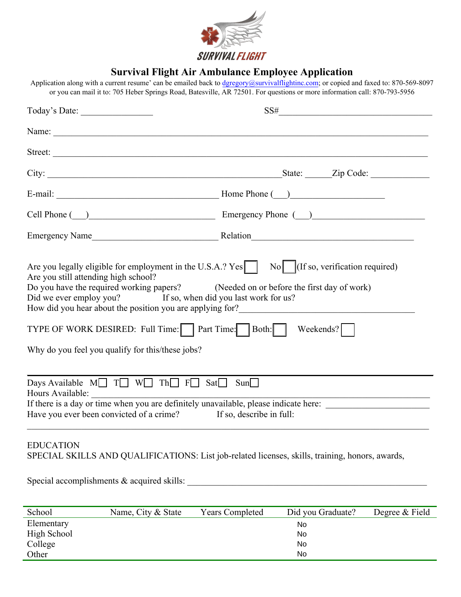

## **Survival Flight Air Ambulance Employee Application**

Application along with a current resume' can be emailed back to dgregory@survivalflightinc.com; or copied and faxed to: 870-569-8097 or you can mail it to: 705 Heber Springs Road, Batesville, AR 72501. For questions or more information call: 870-793-5956

| Today's Date:                                                                                                                                                                                                                                                                                                                                                                                                                                                                                               | $SS# \underbrace{\qquad \qquad }$                                                    |
|-------------------------------------------------------------------------------------------------------------------------------------------------------------------------------------------------------------------------------------------------------------------------------------------------------------------------------------------------------------------------------------------------------------------------------------------------------------------------------------------------------------|--------------------------------------------------------------------------------------|
|                                                                                                                                                                                                                                                                                                                                                                                                                                                                                                             |                                                                                      |
| Street:                                                                                                                                                                                                                                                                                                                                                                                                                                                                                                     |                                                                                      |
|                                                                                                                                                                                                                                                                                                                                                                                                                                                                                                             |                                                                                      |
|                                                                                                                                                                                                                                                                                                                                                                                                                                                                                                             |                                                                                      |
|                                                                                                                                                                                                                                                                                                                                                                                                                                                                                                             | Cell Phone ( ) Emergency Phone ( )                                                   |
|                                                                                                                                                                                                                                                                                                                                                                                                                                                                                                             |                                                                                      |
| Are you legally eligible for employment in the U.S.A.? Yes No   (If so, verification required)<br>Are you still attending high school?<br>Do you have the required working papers? (Needed on or before the first day of work)<br>Did we ever employ you? If so, when did you last work for us?<br>How did you hear about the position you are applying for?________________________<br>TYPE OF WORK DESIRED: Full Time: $\Box$ Part Time: Both: $\Box$<br>Why do you feel you qualify for this/these jobs? | Weekends?                                                                            |
| Days Available $M \Box T \Box W \Box Th \Box F \Box Sat \Box$                                                                                                                                                                                                                                                                                                                                                                                                                                               | Sum                                                                                  |
| Hours Available:                                                                                                                                                                                                                                                                                                                                                                                                                                                                                            |                                                                                      |
| Have you ever been convicted of a crime? If so, describe in full:                                                                                                                                                                                                                                                                                                                                                                                                                                           | If there is a day or time when you are definitely unavailable, please indicate here: |

## EDUCATION SPECIAL SKILLS AND QUALIFICATIONS: List job-related licenses, skills, training, honors, awards,

Special accomplishments & acquired skills: \_\_\_\_\_\_\_\_\_\_\_\_\_\_\_\_\_\_\_\_\_\_\_\_\_\_\_\_\_\_\_\_\_\_\_\_\_\_\_\_\_\_\_\_\_\_\_\_\_\_\_\_\_

| School      | Name, City & State | <b>Years Completed</b> | Did you Graduate? | Degree & Field |
|-------------|--------------------|------------------------|-------------------|----------------|
| Elementary  |                    |                        | No.               |                |
| High School |                    | No                     |                   |                |
| College     |                    |                        | No.               |                |
| Other       |                    |                        | No                |                |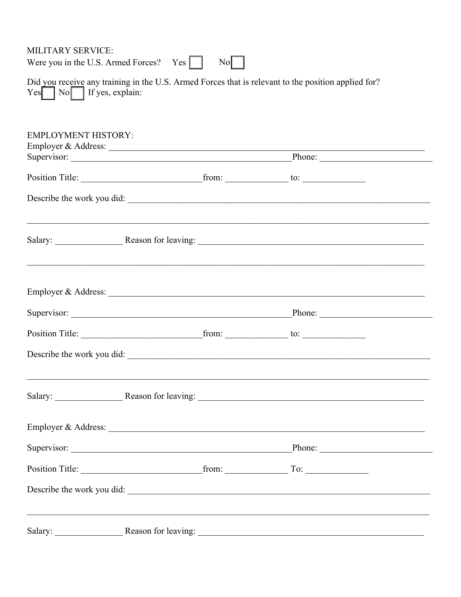MILITARY SERVICE: Were you in the U.S. Armed Forces?  $Yes \Box$  $\begin{array}{c|c} \n\text{No} & \n\end{array}$ Did you receive any training in the U.S. Armed Forces that is relevant to the position applied for?  $Yes \frown No \frown If yes, explain:$ **EMPLOYMENT HISTORY:** Supervisor: Phone: Position Title: from: to: to: Describe the work you did: Salary: Reason for leaving: Nearly 2008. The Reason for leaving: Supervisor: Phone: Describe the work you did: Salary: Reason for leaving: 2008. Calary: 2008. Reason for leaving: 2008. Calary: 2008. Reason for leaving: 2008. Reason for leaving: 2008. Also and 2008. Reason for leaving: 2008. Also and 2008. Reason for leaving 2008. A Supervisor: Phone: Position Title: from: To: Describe the work you did:

Salary: Reason for leaving: Neason for leaving: Nearly 1989.